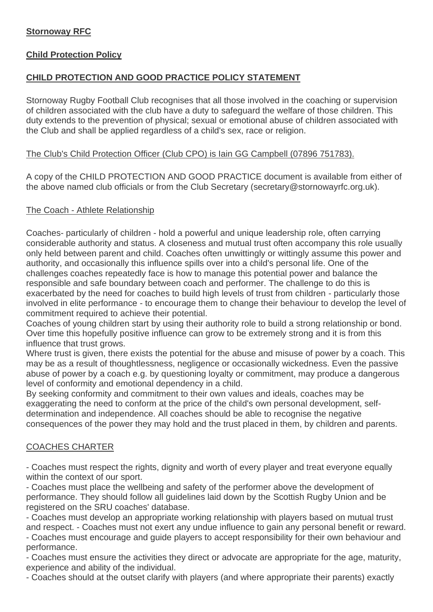## **Stornoway RFC**

## **Child Protection Policy**

## **CHILD PROTECTION AND GOOD PRACTICE POLICY STATEMENT**

Stornoway Rugby Football Club recognises that all those involved in the coaching or supervision of children associated with the club have a duty to safeguard the welfare of those children. This duty extends to the prevention of physical; sexual or emotional abuse of children associated with the Club and shall be applied regardless of a child's sex, race or religion.

### The Club's Child Protection Officer (Club CPO) is Iain GG Campbell (07896 751783).

A copy of the CHILD PROTECTION AND GOOD PRACTICE document is available from either of the above named club officials or from the Club Secretary (secretary@stornowayrfc.org.uk).

## The Coach - Athlete Relationship

Coaches- particularly of children - hold a powerful and unique leadership role, often carrying considerable authority and status. A closeness and mutual trust often accompany this role usually only held between parent and child. Coaches often unwittingly or wittingly assume this power and authority, and occasionally this influence spills over into a child's personal life. One of the challenges coaches repeatedly face is how to manage this potential power and balance the responsible and safe boundary between coach and performer. The challenge to do this is exacerbated by the need for coaches to build high levels of trust from children - particularly those involved in elite performance - to encourage them to change their behaviour to develop the level of commitment required to achieve their potential.

Coaches of young children start by using their authority role to build a strong relationship or bond. Over time this hopefully positive influence can grow to be extremely strong and it is from this influence that trust grows.

Where trust is given, there exists the potential for the abuse and misuse of power by a coach. This may be as a result of thoughtlessness, negligence or occasionally wickedness. Even the passive abuse of power by a coach e.g. by questioning loyalty or commitment, may produce a dangerous level of conformity and emotional dependency in a child.

By seeking conformity and commitment to their own values and ideals, coaches may be exaggerating the need to conform at the price of the child's own personal development, selfdetermination and independence. All coaches should be able to recognise the negative consequences of the power they may hold and the trust placed in them, by children and parents.

## COACHES CHARTER

- Coaches must respect the rights, dignity and worth of every player and treat everyone equally within the context of our sport.

- Coaches must place the wellbeing and safety of the performer above the development of performance. They should follow all guidelines laid down by the Scottish Rugby Union and be registered on the SRU coaches' database.

- Coaches must develop an appropriate working relationship with players based on mutual trust and respect. - Coaches must not exert any undue influence to gain any personal benefit or reward. - Coaches must encourage and guide players to accept responsibility for their own behaviour and

performance. - Coaches must ensure the activities they direct or advocate are appropriate for the age, maturity, experience and ability of the individual.

- Coaches should at the outset clarify with players (and where appropriate their parents) exactly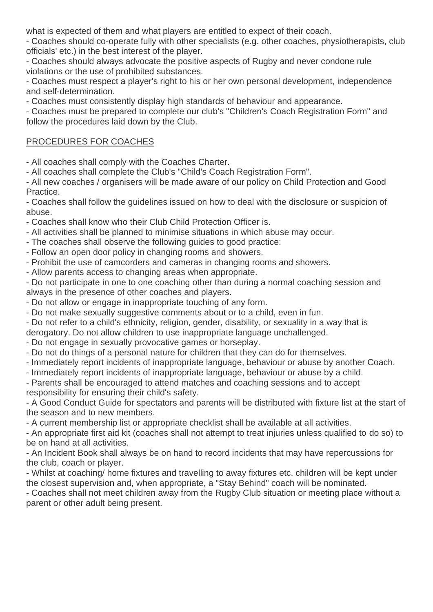what is expected of them and what players are entitled to expect of their coach.

- Coaches should co-operate fully with other specialists (e.g. other coaches, physiotherapists, club officials' etc.) in the best interest of the player.

- Coaches should always advocate the positive aspects of Rugby and never condone rule violations or the use of prohibited substances.

- Coaches must respect a player's right to his or her own personal development, independence and self-determination.

- Coaches must consistently display high standards of behaviour and appearance.

- Coaches must be prepared to complete our club's "Children's Coach Registration Form" and follow the procedures laid down by the Club.

## PROCEDURES FOR COACHES

- All coaches shall comply with the Coaches Charter.

- All coaches shall complete the Club's "Child's Coach Registration Form".

- All new coaches / organisers will be made aware of our policy on Child Protection and Good Practice.

- Coaches shall follow the guidelines issued on how to deal with the disclosure or suspicion of abuse.

- Coaches shall know who their Club Child Protection Officer is.

- All activities shall be planned to minimise situations in which abuse may occur.

- The coaches shall observe the following guides to good practice:

- Follow an open door policy in changing rooms and showers.

- Prohibit the use of camcorders and cameras in changing rooms and showers.

- Allow parents access to changing areas when appropriate.

- Do not participate in one to one coaching other than during a normal coaching session and always in the presence of other coaches and players.

- Do not allow or engage in inappropriate touching of any form.

- Do not make sexually suggestive comments about or to a child, even in fun.

- Do not refer to a child's ethnicity, religion, gender, disability, or sexuality in a way that is derogatory. Do not allow children to use inappropriate language unchallenged.

- Do not engage in sexually provocative games or horseplay.

- Do not do things of a personal nature for children that they can do for themselves.

- Immediately report incidents of inappropriate language, behaviour or abuse by another Coach.

- Immediately report incidents of inappropriate language, behaviour or abuse by a child.

- Parents shall be encouraged to attend matches and coaching sessions and to accept responsibility for ensuring their child's safety.

- A Good Conduct Guide for spectators and parents will be distributed with fixture list at the start of the season and to new members.

- A current membership list or appropriate checklist shall be available at all activities.

- An appropriate first aid kit (coaches shall not attempt to treat injuries unless qualified to do so) to be on hand at all activities.

- An Incident Book shall always be on hand to record incidents that may have repercussions for the club, coach or player.

- Whilst at coaching/ home fixtures and travelling to away fixtures etc. children will be kept under the closest supervision and, when appropriate, a "Stay Behind" coach will be nominated.

- Coaches shall not meet children away from the Rugby Club situation or meeting place without a parent or other adult being present.